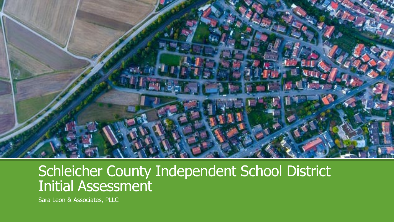

#### Schleicher County Independent School District Initial Assessment

Sara Leon & Associates, PLLC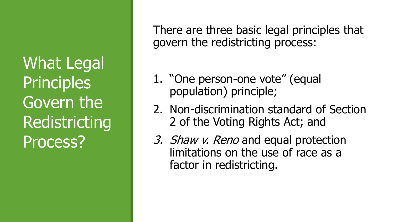What Legal **Principles** Govern the Redistricting Process?

There are three basic legal principles that govern the redistricting process:

- 1. "One person-one vote" (equal population) principle;
- 2. Non-discrimination standard of Section 2 of the Voting Rights Act; and
- 3. Shaw v. Reno and equal protection limitations on the use of race as a factor in redistricting.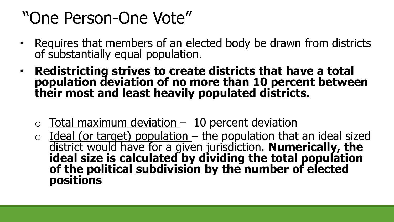# "One Person-One Vote"

- Requires that members of an elected body be drawn from districts of substantially equal population.
- **Redistricting strives to create districts that have a total population deviation of no more than 10 percent between their most and least heavily populated districts.**
	- $\circ$  Total maximum deviation 10 percent deviation
	- <sup>o</sup> Ideal (or target) population the population that an ideal sized district would have for a given jurisdiction. **Numerically, the ideal size is calculated by dividing the total population of the political subdivision by the number of elected positions**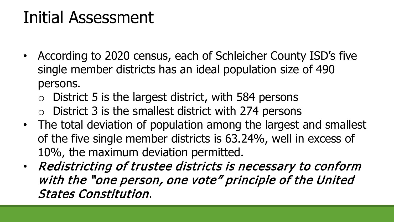## Initial Assessment

- According to 2020 census, each of Schleicher County ISD's five single member districts has an ideal population size of 490 persons.
	- $\circ$  District 5 is the largest district, with 584 persons
	- $\circ$  District 3 is the smallest district with 274 persons
- The total deviation of population among the largest and smallest of the five single member districts is 63.24%, well in excess of 10%, the maximum deviation permitted.
- Redistricting of trustee districts is necessary to conform with the "one person, one vote" principle of the United States Constitution.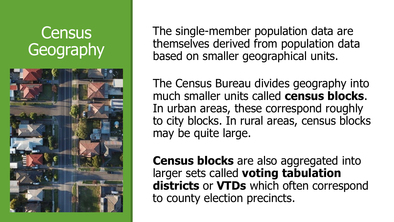#### **Census Geography**



The single-member population data are themselves derived from population data based on smaller geographical units.

The Census Bureau divides geography into much smaller units called **census blocks**. In urban areas, these correspond roughly to city blocks. In rural areas, census blocks may be quite large.

**Census blocks** are also aggregated into larger sets called **voting tabulation districts** or **VTDs** which often correspond to county election precincts.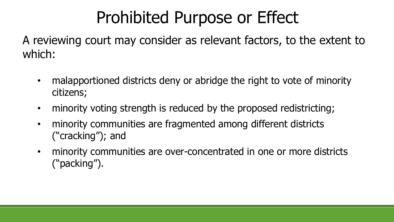# Prohibited Purpose or Effect

A reviewing court may consider as relevant factors, to the extent to which:

- malapportioned districts deny or abridge the right to vote of minority citizens;
- minority voting strength is reduced by the proposed redistricting;
- minority communities are fragmented among different districts ("cracking"); and
- minority communities are over-concentrated in one or more districts ("packing").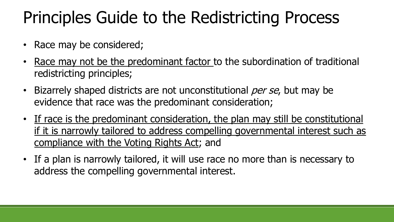# Principles Guide to the Redistricting Process

- Race may be considered;
- Race may not be the predominant factor to the subordination of traditional redistricting principles;
- Bizarrely shaped districts are not unconstitutional per se, but may be evidence that race was the predominant consideration;
- If race is the predominant consideration, the plan may still be constitutional if it is narrowly tailored to address compelling governmental interest such as compliance with the Voting Rights Act; and
- If a plan is narrowly tailored, it will use race no more than is necessary to address the compelling governmental interest.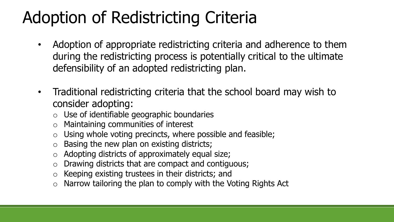# Adoption of Redistricting Criteria

- Adoption of appropriate redistricting criteria and adherence to them during the redistricting process is potentially critical to the ultimate defensibility of an adopted redistricting plan.
- Traditional redistricting criteria that the school board may wish to consider adopting:
	- $\circ$  Use of identifiable geographic boundaries
	- Maintaining communities of interest
	- $\circ$  Using whole voting precincts, where possible and feasible;
	- Basing the new plan on existing districts;
	- Adopting districts of approximately equal size;
	- $\circ$  Drawing districts that are compact and contiguous;
	- $\circ$  Keeping existing trustees in their districts; and
	- Narrow tailoring the plan to comply with the Voting Rights Act